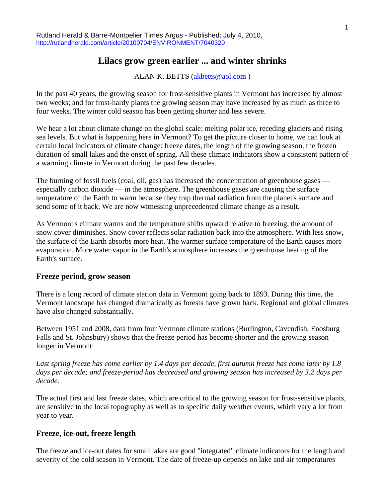# **Lilacs grow green earlier ... and winter shrinks**

ALAN K. BETTS [\(akbetts@aol.com](mailto:akbetts@aol.com) )

In the past 40 years, the growing season for frost-sensitive plants in Vermont has increased by almost two weeks; and for frost-hardy plants the growing season may have increased by as much as three to four weeks. The winter cold season has been getting shorter and less severe.

We hear a lot about climate change on the global scale: melting polar ice, receding glaciers and rising sea levels. But what is happening here in Vermont? To get the picture closer to home, we can look at certain local indicators of climate change: freeze dates, the length of the growing season, the frozen duration of small lakes and the onset of spring. All these climate indicators show a consistent pattern of a warming climate in Vermont during the past few decades.

The burning of fossil fuels (coal, oil, gas) has increased the concentration of greenhouse gases especially carbon dioxide — in the atmosphere. The greenhouse gases are causing the surface temperature of the Earth to warm because they trap thermal radiation from the planet's surface and send some of it back. We are now witnessing unprecedented climate change as a result.

As Vermont's climate warms and the temperature shifts upward relative to freezing, the amount of snow cover diminishes. Snow cover reflects solar radiation back into the atmosphere. With less snow, the surface of the Earth absorbs more heat. The warmer surface temperature of the Earth causes more evaporation. More water vapor in the Earth's atmosphere increases the greenhouse heating of the Earth's surface.

### **Freeze period, grow season**

There is a long record of climate station data in Vermont going back to 1893. During this time, the Vermont landscape has changed dramatically as forests have grown back. Regional and global climates have also changed substantially.

Between 1951 and 2008, data from four Vermont climate stations (Burlington, Cavendish, Enosburg Falls and St. Johnsbury) shows that the freeze period has become shorter and the growing season longer in Vermont:

*Last spring freeze has come earlier by 1.4 days per decade, first autumn freeze has come later by 1.8 days per decade; and freeze-period has decreased and growing season has increased by 3.2 days per decade.*

The actual first and last freeze dates, which are critical to the growing season for frost-sensitive plants, are sensitive to the local topography as well as to specific daily weather events, which vary a lot from year to year.

### **Freeze, ice-out, freeze length**

The freeze and ice-out dates for small lakes are good "integrated" climate indicators for the length and severity of the cold season in Vermont. The date of freeze-up depends on lake and air temperatures